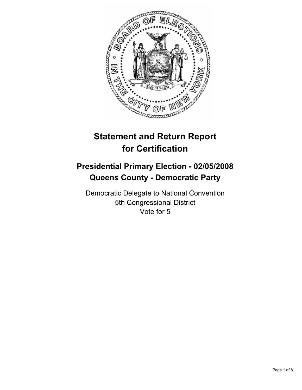

# **Statement and Return Report for Certification**

## **Presidential Primary Election - 02/05/2008 Queens County - Democratic Party**

Democratic Delegate to National Convention 5th Congressional District Vote for 5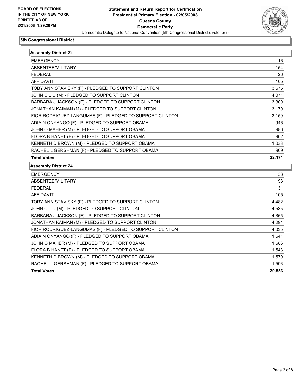

| <b>Assembly District 22</b>                              |                                                                                                                  |
|----------------------------------------------------------|------------------------------------------------------------------------------------------------------------------|
| <b>EMERGENCY</b>                                         | 16                                                                                                               |
| ABSENTEE/MILITARY                                        | 154                                                                                                              |
| <b>FEDERAL</b>                                           | 26                                                                                                               |
| <b>AFFIDAVIT</b>                                         | 105                                                                                                              |
| TOBY ANN STAVISKY (F) - PLEDGED TO SUPPORT CLINTON       | 3,575                                                                                                            |
| JOHN C LIU (M) - PLEDGED TO SUPPORT CLINTON              | 4,071                                                                                                            |
| BARBARA J JACKSON (F) - PLEDGED TO SUPPORT CLINTON       | 3,300                                                                                                            |
| JONATHAN KAIMAN (M) - PLEDGED TO SUPPORT CLINTON         | 3,170                                                                                                            |
| FIOR RODRIGUEZ-LANGUMAS (F) - PLEDGED TO SUPPORT CLINTON | 3,159                                                                                                            |
| ADIA N ONYANGO (F) - PLEDGED TO SUPPORT OBAMA            | 946                                                                                                              |
| JOHN O MAHER (M) - PLEDGED TO SUPPORT OBAMA              | 986                                                                                                              |
| FLORA B HANFT (F) - PLEDGED TO SUPPORT OBAMA             | 962                                                                                                              |
| KENNETH D BROWN (M) - PLEDGED TO SUPPORT OBAMA           | 1,033                                                                                                            |
|                                                          |                                                                                                                  |
| RACHEL L GERSHMAN (F) - PLEDGED TO SUPPORT OBAMA         |                                                                                                                  |
| <b>Total Votes</b>                                       | 969<br>22,171                                                                                                    |
| <b>Assembly District 24</b>                              |                                                                                                                  |
| <b>EMERGENCY</b>                                         |                                                                                                                  |
| ABSENTEE/MILITARY                                        |                                                                                                                  |
| <b>FEDERAL</b>                                           |                                                                                                                  |
| <b>AFFIDAVIT</b>                                         |                                                                                                                  |
| TOBY ANN STAVISKY (F) - PLEDGED TO SUPPORT CLINTON       |                                                                                                                  |
| JOHN C LIU (M) - PLEDGED TO SUPPORT CLINTON              |                                                                                                                  |
| BARBARA J JACKSON (F) - PLEDGED TO SUPPORT CLINTON       |                                                                                                                  |
| JONATHAN KAIMAN (M) - PLEDGED TO SUPPORT CLINTON         |                                                                                                                  |
| FIOR RODRIGUEZ-LANGUMAS (F) - PLEDGED TO SUPPORT CLINTON |                                                                                                                  |
| ADIA N ONYANGO (F) - PLEDGED TO SUPPORT OBAMA            |                                                                                                                  |
| JOHN O MAHER (M) - PLEDGED TO SUPPORT OBAMA              |                                                                                                                  |
| FLORA B HANFT (F) - PLEDGED TO SUPPORT OBAMA             |                                                                                                                  |
| KENNETH D BROWN (M) - PLEDGED TO SUPPORT OBAMA           |                                                                                                                  |
| RACHEL L GERSHMAN (F) - PLEDGED TO SUPPORT OBAMA         | 33<br>193<br>31<br>105<br>4,482<br>4,535<br>4,365<br>4,291<br>4,035<br>1,541<br>1,586<br>1,543<br>1,579<br>1,596 |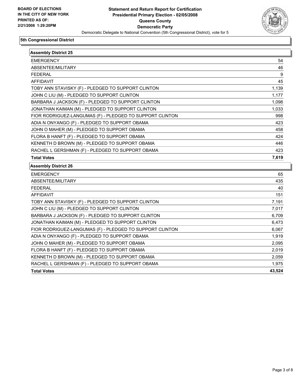

| <b>Assembly District 25</b>                              |        |
|----------------------------------------------------------|--------|
| <b>EMERGENCY</b>                                         | 54     |
| ABSENTEE/MILITARY                                        | 46     |
| <b>FEDERAL</b>                                           | 9      |
| <b>AFFIDAVIT</b>                                         | 45     |
| TOBY ANN STAVISKY (F) - PLEDGED TO SUPPORT CLINTON       | 1,139  |
| JOHN C LIU (M) - PLEDGED TO SUPPORT CLINTON              | 1,177  |
| BARBARA J JACKSON (F) - PLEDGED TO SUPPORT CLINTON       | 1,098  |
| JONATHAN KAIMAN (M) - PLEDGED TO SUPPORT CLINTON         | 1,033  |
| FIOR RODRIGUEZ-LANGUMAS (F) - PLEDGED TO SUPPORT CLINTON | 998    |
| ADIA N ONYANGO (F) - PLEDGED TO SUPPORT OBAMA            | 423    |
| JOHN O MAHER (M) - PLEDGED TO SUPPORT OBAMA              | 458    |
| FLORA B HANFT (F) - PLEDGED TO SUPPORT OBAMA             | 424    |
| KENNETH D BROWN (M) - PLEDGED TO SUPPORT OBAMA           | 446    |
| RACHEL L GERSHMAN (F) - PLEDGED TO SUPPORT OBAMA         | 423    |
| <b>Total Votes</b>                                       | 7,619  |
| <b>Assembly District 26</b>                              |        |
| <b>EMERGENCY</b>                                         | 65     |
| ABSENTEE/MILITARY                                        | 435    |
| <b>FEDERAL</b>                                           | 40     |
| <b>AFFIDAVIT</b>                                         | 151    |
| TOBY ANN STAVISKY (F) - PLEDGED TO SUPPORT CLINTON       | 7,191  |
| JOHN C LIU (M) - PLEDGED TO SUPPORT CLINTON              | 7,017  |
| BARBARA J JACKSON (F) - PLEDGED TO SUPPORT CLINTON       | 6,709  |
| JONATHAN KAIMAN (M) - PLEDGED TO SUPPORT CLINTON         | 6,473  |
| FIOR RODRIGUEZ-LANGUMAS (F) - PLEDGED TO SUPPORT CLINTON | 6,067  |
| ADIA N ONYANGO (F) - PLEDGED TO SUPPORT OBAMA            | 1,919  |
| JOHN O MAHER (M) - PLEDGED TO SUPPORT OBAMA              | 2,095  |
| FLORA B HANFT (F) - PLEDGED TO SUPPORT OBAMA             | 2,019  |
| KENNETH D BROWN (M) - PLEDGED TO SUPPORT OBAMA           | 2,059  |
| RACHEL L GERSHMAN (F) - PLEDGED TO SUPPORT OBAMA         | 1,975  |
| <b>Total Votes</b>                                       | 43,524 |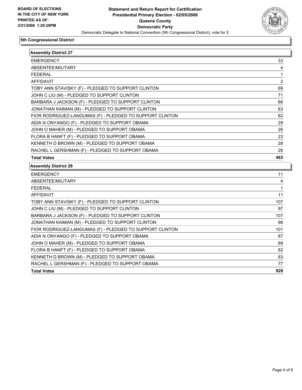

| <b>Assembly District 27</b>                              |     |
|----------------------------------------------------------|-----|
| <b>EMERGENCY</b>                                         | 33  |
| ABSENTEE/MILITARY                                        | 4   |
| <b>FEDERAL</b>                                           | 1   |
| AFFIDAVIT                                                | 2   |
| TOBY ANN STAVISKY (F) - PLEDGED TO SUPPORT CLINTON       | 69  |
| JOHN C LIU (M) - PLEDGED TO SUPPORT CLINTON              | 71  |
| BARBARA J JACKSON (F) - PLEDGED TO SUPPORT CLINTON       | 66  |
| JONATHAN KAIMAN (M) - PLEDGED TO SUPPORT CLINTON         | 63  |
| FIOR RODRIGUEZ-LANGUMAS (F) - PLEDGED TO SUPPORT CLINTON | 62  |
| ADIA N ONYANGO (F) - PLEDGED TO SUPPORT OBAMA            | 29  |
| JOHN O MAHER (M) - PLEDGED TO SUPPORT OBAMA              | 26  |
| FLORA B HANFT (F) - PLEDGED TO SUPPORT OBAMA             | 23  |
| KENNETH D BROWN (M) - PLEDGED TO SUPPORT OBAMA           | 28  |
| RACHEL L GERSHMAN (F) - PLEDGED TO SUPPORT OBAMA         | 26  |
| <b>Total Votes</b>                                       | 463 |
| <b>Assembly District 29</b>                              |     |
| <b>EMERGENCY</b>                                         | 11  |
| ABSENTEE/MILITARY                                        | 4   |
| <b>FEDERAL</b>                                           | 1   |
| <b>AFFIDAVIT</b>                                         | 11  |
| TOBY ANN STAVISKY (F) - PLEDGED TO SUPPORT CLINTON       | 107 |
| JOHN C LIU (M) - PLEDGED TO SUPPORT CLINTON              | 97  |
| BARBARA J JACKSON (F) - PLEDGED TO SUPPORT CLINTON       | 107 |
| JONATHAN KAIMAN (M) - PLEDGED TO SUPPORT CLINTON         | 98  |
| FIOR RODRIGUEZ-LANGUMAS (F) - PLEDGED TO SUPPORT CLINTON | 101 |
| ADIA N ONYANGO (F) - PLEDGED TO SUPPORT OBAMA            | 87  |
| JOHN O MAHER (M) - PLEDGED TO SUPPORT OBAMA              | 89  |
| FLORA B HANFT (F) - PLEDGED TO SUPPORT OBAMA             | 82  |
|                                                          | 83  |
| KENNETH D BROWN (M) - PLEDGED TO SUPPORT OBAMA           |     |
| RACHEL L GERSHMAN (F) - PLEDGED TO SUPPORT OBAMA         | 77  |
| <b>Total Votes</b>                                       | 928 |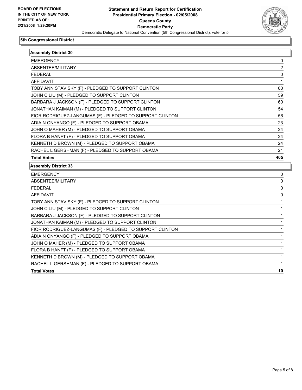

| <b>Assembly District 30</b>                              |     |
|----------------------------------------------------------|-----|
| <b>EMERGENCY</b>                                         | 0   |
| ABSENTEE/MILITARY                                        | 2   |
| FEDERAL                                                  | 0   |
| <b>AFFIDAVIT</b>                                         |     |
| TOBY ANN STAVISKY (F) - PLEDGED TO SUPPORT CLINTON       | 60  |
| JOHN C LIU (M) - PLEDGED TO SUPPORT CLINTON              | 59  |
| BARBARA J JACKSON (F) - PLEDGED TO SUPPORT CLINTON       | 60  |
| JONATHAN KAIMAN (M) - PLEDGED TO SUPPORT CLINTON         | 54  |
| FIOR RODRIGUEZ-LANGUMAS (F) - PLEDGED TO SUPPORT CLINTON | 56  |
| ADIA N ONYANGO (F) - PLEDGED TO SUPPORT OBAMA            | 23  |
| JOHN O MAHER (M) - PLEDGED TO SUPPORT OBAMA              | 24  |
| FLORA B HANFT (F) - PLEDGED TO SUPPORT OBAMA             | 24  |
| KENNETH D BROWN (M) - PLEDGED TO SUPPORT OBAMA           | 24  |
| RACHEL L GERSHMAN (F) - PLEDGED TO SUPPORT OBAMA         | 21  |
| <b>Total Votes</b>                                       | 405 |
| <b>Assembly District 33</b>                              |     |
| <b>EMERGENCY</b>                                         | 0   |
| ABSENTEE/MILITARY                                        | 0   |
| <b>FEDERAL</b>                                           | 0   |
| <b>AFFIDAVIT</b>                                         | 0   |
| TOBY ANN STAVISKY (F) - PLEDGED TO SUPPORT CLINTON       |     |
| JOHN C LIU (M) - PLEDGED TO SUPPORT CLINTON              |     |
| BARBARA J JACKSON (F) - PLEDGED TO SUPPORT CLINTON       |     |
| JONATHAN KAIMAN (M) - PLEDGED TO SUPPORT CLINTON         |     |
| FIOR RODRIGUEZ-LANGUMAS (F) - PLEDGED TO SUPPORT CLINTON |     |
| ADIA N ONYANGO (F) - PLEDGED TO SUPPORT OBAMA            |     |
| JOHN O MAHER (M) - PLEDGED TO SUPPORT OBAMA              |     |
| FLORA B HANFT (F) - PLEDGED TO SUPPORT OBAMA             |     |
| KENNETH D BROWN (M) - PLEDGED TO SUPPORT OBAMA           |     |
| RACHEL L GERSHMAN (F) - PLEDGED TO SUPPORT OBAMA         |     |

**Total Votes 10**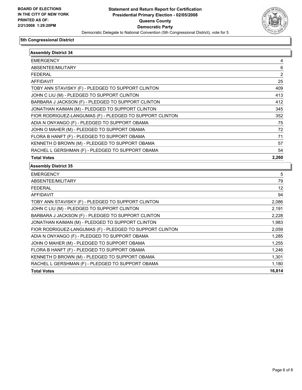

| <b>Assembly District 34</b>                              |        |
|----------------------------------------------------------|--------|
| <b>EMERGENCY</b>                                         |        |
| ABSENTEE/MILITARY                                        | 6      |
| <b>FEDERAL</b>                                           | 2      |
| <b>AFFIDAVIT</b>                                         | 25     |
| TOBY ANN STAVISKY (F) - PLEDGED TO SUPPORT CLINTON       | 409    |
| JOHN C LIU (M) - PLEDGED TO SUPPORT CLINTON              | 413    |
| BARBARA J JACKSON (F) - PLEDGED TO SUPPORT CLINTON       | 412    |
| JONATHAN KAIMAN (M) - PLEDGED TO SUPPORT CLINTON         | 345    |
| FIOR RODRIGUEZ-LANGUMAS (F) - PLEDGED TO SUPPORT CLINTON | 352    |
| ADIA N ONYANGO (F) - PLEDGED TO SUPPORT OBAMA            | 75     |
| JOHN O MAHER (M) - PLEDGED TO SUPPORT OBAMA              | 72     |
| FLORA B HANFT (F) - PLEDGED TO SUPPORT OBAMA             | 71     |
| KENNETH D BROWN (M) - PLEDGED TO SUPPORT OBAMA           | 57     |
| RACHEL L GERSHMAN (F) - PLEDGED TO SUPPORT OBAMA         | 54     |
| <b>Total Votes</b>                                       | 2,260  |
| <b>Assembly District 35</b>                              |        |
| <b>EMERGENCY</b>                                         | 5      |
| ABSENTEE/MILITARY                                        | 79     |
| <b>FEDERAL</b>                                           | 12     |
| <b>AFFIDAVIT</b>                                         | 94     |
| TOBY ANN STAVISKY (F) - PLEDGED TO SUPPORT CLINTON       | 2,086  |
| JOHN C LIU (M) - PLEDGED TO SUPPORT CLINTON              | 2,191  |
| BARBARA J JACKSON (F) - PLEDGED TO SUPPORT CLINTON       | 2,228  |
| JONATHAN KAIMAN (M) - PLEDGED TO SUPPORT CLINTON         | 1,983  |
| FIOR RODRIGUEZ-LANGUMAS (F) - PLEDGED TO SUPPORT CLINTON | 2,059  |
| ADIA N ONYANGO (F) - PLEDGED TO SUPPORT OBAMA            | 1,285  |
| JOHN O MAHER (M) - PLEDGED TO SUPPORT OBAMA              | 1,255  |
| FLORA B HANFT (F) - PLEDGED TO SUPPORT OBAMA             | 1,246  |
| KENNETH D BROWN (M) - PLEDGED TO SUPPORT OBAMA           | 1,301  |
| RACHEL L GERSHMAN (F) - PLEDGED TO SUPPORT OBAMA         | 1,180  |
| <b>Total Votes</b>                                       | 16,814 |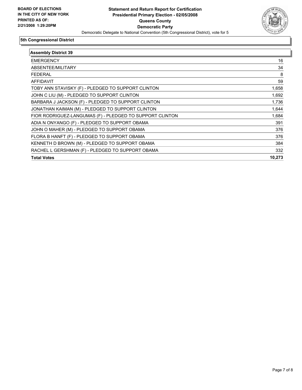

| <b>Assembly District 39</b>                              |        |
|----------------------------------------------------------|--------|
| <b>EMERGENCY</b>                                         | 16     |
| ABSENTEE/MILITARY                                        | 34     |
| <b>FEDERAL</b>                                           | 8      |
| <b>AFFIDAVIT</b>                                         | 59     |
| TOBY ANN STAVISKY (F) - PLEDGED TO SUPPORT CLINTON       | 1,658  |
| JOHN C LIU (M) - PLEDGED TO SUPPORT CLINTON              | 1,692  |
| BARBARA J JACKSON (F) - PLEDGED TO SUPPORT CLINTON       | 1,736  |
| JONATHAN KAIMAN (M) - PLEDGED TO SUPPORT CLINTON         | 1,644  |
| FIOR RODRIGUEZ-LANGUMAS (F) - PLEDGED TO SUPPORT CLINTON | 1,684  |
| ADIA N ONYANGO (F) - PLEDGED TO SUPPORT OBAMA            | 391    |
| JOHN O MAHER (M) - PLEDGED TO SUPPORT OBAMA              | 376    |
| FLORA B HANFT (F) - PLEDGED TO SUPPORT OBAMA             | 376    |
| KENNETH D BROWN (M) - PLEDGED TO SUPPORT OBAMA           | 384    |
| RACHEL L GERSHMAN (F) - PLEDGED TO SUPPORT OBAMA         | 332    |
| <b>Total Votes</b>                                       | 10,273 |
|                                                          |        |